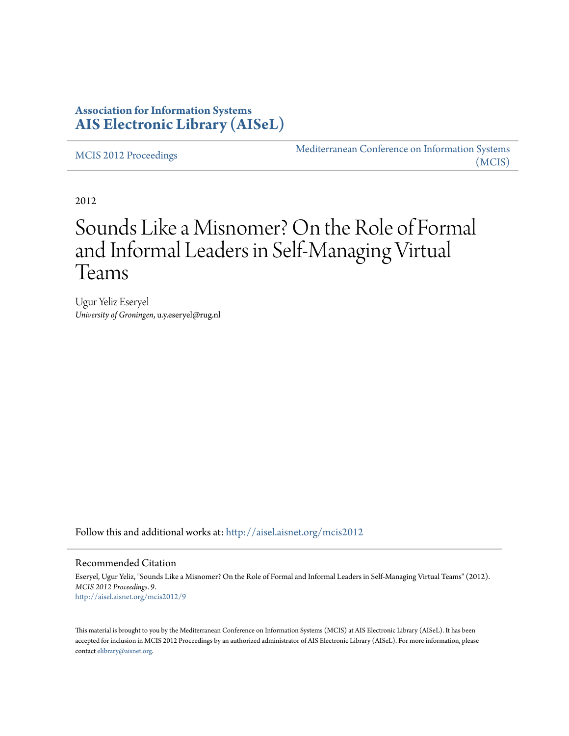## **Association for Information Systems [AIS Electronic Library \(AISeL\)](http://aisel.aisnet.org?utm_source=aisel.aisnet.org%2Fmcis2012%2F9&utm_medium=PDF&utm_campaign=PDFCoverPages)**

[MCIS 2012 Proceedings](http://aisel.aisnet.org/mcis2012?utm_source=aisel.aisnet.org%2Fmcis2012%2F9&utm_medium=PDF&utm_campaign=PDFCoverPages)

[Mediterranean Conference on Information Systems](http://aisel.aisnet.org/mcis?utm_source=aisel.aisnet.org%2Fmcis2012%2F9&utm_medium=PDF&utm_campaign=PDFCoverPages) [\(MCIS\)](http://aisel.aisnet.org/mcis?utm_source=aisel.aisnet.org%2Fmcis2012%2F9&utm_medium=PDF&utm_campaign=PDFCoverPages)

2012

# Sounds Like a Misnomer? On the Role of Formal and Informal Leaders in Self-Managing Virtual Teams

Ugur Yeliz Eseryel *University of Groningen*, u.y.eseryel@rug.nl

Follow this and additional works at: [http://aisel.aisnet.org/mcis2012](http://aisel.aisnet.org/mcis2012?utm_source=aisel.aisnet.org%2Fmcis2012%2F9&utm_medium=PDF&utm_campaign=PDFCoverPages)

#### Recommended Citation

Eseryel, Ugur Yeliz, "Sounds Like a Misnomer? On the Role of Formal and Informal Leaders in Self-Managing Virtual Teams" (2012). *MCIS 2012 Proceedings*. 9. [http://aisel.aisnet.org/mcis2012/9](http://aisel.aisnet.org/mcis2012/9?utm_source=aisel.aisnet.org%2Fmcis2012%2F9&utm_medium=PDF&utm_campaign=PDFCoverPages)

This material is brought to you by the Mediterranean Conference on Information Systems (MCIS) at AIS Electronic Library (AISeL). It has been accepted for inclusion in MCIS 2012 Proceedings by an authorized administrator of AIS Electronic Library (AISeL). For more information, please contact [elibrary@aisnet.org.](mailto:elibrary@aisnet.org%3E)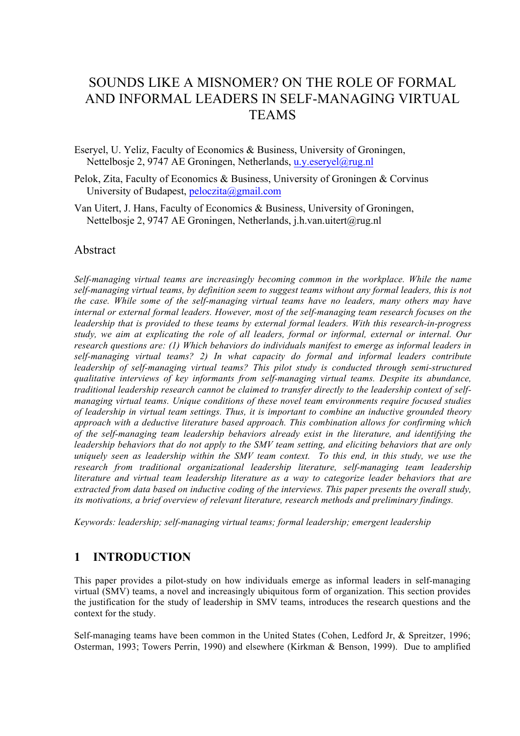## SOUNDS LIKE A MISNOMER? ON THE ROLE OF FORMAL AND INFORMAL LEADERS IN SELF-MANAGING VIRTUAL **TEAMS**

Eseryel, U. Yeliz, Faculty of Economics & Business, University of Groningen, Nettelbosje 2, 9747 AE Groningen, Netherlands, u.y.eseryel@rug.nl

- Pelok, Zita, Faculty of Economics & Business, University of Groningen & Corvinus University of Budapest, peloczita@gmail.com
- Van Uitert, J. Hans, Faculty of Economics & Business, University of Groningen, Nettelbosje 2, 9747 AE Groningen, Netherlands, j.h.van.uitert@rug.nl

#### Abstract

*Self-managing virtual teams are increasingly becoming common in the workplace. While the name self-managing virtual teams, by definition seem to suggest teams without any formal leaders, this is not the case. While some of the self-managing virtual teams have no leaders, many others may have internal or external formal leaders. However, most of the self-managing team research focuses on the leadership that is provided to these teams by external formal leaders. With this research-in-progress study, we aim at explicating the role of all leaders, formal or informal, external or internal. Our research questions are: (1) Which behaviors do individuals manifest to emerge as informal leaders in self-managing virtual teams? 2) In what capacity do formal and informal leaders contribute leadership of self-managing virtual teams? This pilot study is conducted through semi-structured qualitative interviews of key informants from self-managing virtual teams. Despite its abundance, traditional leadership research cannot be claimed to transfer directly to the leadership context of selfmanaging virtual teams. Unique conditions of these novel team environments require focused studies of leadership in virtual team settings. Thus, it is important to combine an inductive grounded theory approach with a deductive literature based approach. This combination allows for confirming which of the self-managing team leadership behaviors already exist in the literature, and identifying the leadership behaviors that do not apply to the SMV team setting, and eliciting behaviors that are only uniquely seen as leadership within the SMV team context. To this end, in this study, we use the research from traditional organizational leadership literature, self-managing team leadership literature and virtual team leadership literature as a way to categorize leader behaviors that are extracted from data based on inductive coding of the interviews. This paper presents the overall study, its motivations, a brief overview of relevant literature, research methods and preliminary findings.* 

*Keywords: leadership; self-managing virtual teams; formal leadership; emergent leadership*

### **1 INTRODUCTION**

This paper provides a pilot-study on how individuals emerge as informal leaders in self-managing virtual (SMV) teams, a novel and increasingly ubiquitous form of organization. This section provides the justification for the study of leadership in SMV teams, introduces the research questions and the context for the study.

Self-managing teams have been common in the United States (Cohen, Ledford Jr, & Spreitzer, 1996; Osterman, 1993; Towers Perrin, 1990) and elsewhere (Kirkman & Benson, 1999). Due to amplified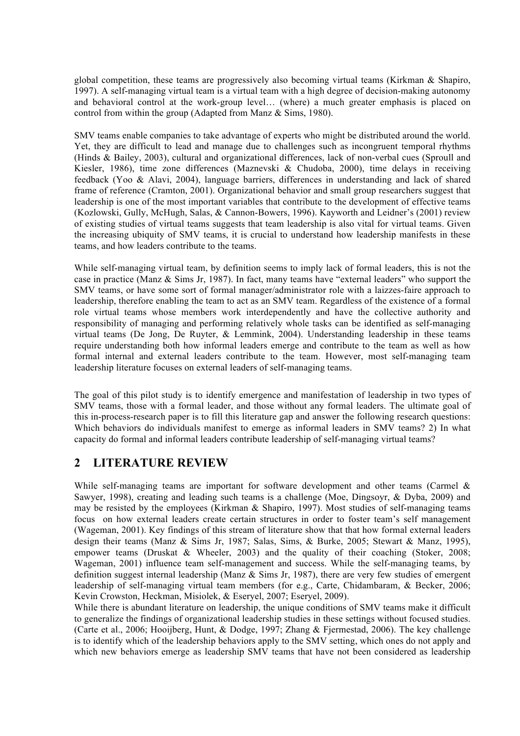global competition, these teams are progressively also becoming virtual teams (Kirkman & Shapiro, 1997). A self-managing virtual team is a virtual team with a high degree of decision-making autonomy and behavioral control at the work-group level… (where) a much greater emphasis is placed on control from within the group (Adapted from Manz & Sims, 1980).

SMV teams enable companies to take advantage of experts who might be distributed around the world. Yet, they are difficult to lead and manage due to challenges such as incongruent temporal rhythms (Hinds & Bailey, 2003), cultural and organizational differences, lack of non-verbal cues (Sproull and Kiesler, 1986), time zone differences (Maznevski & Chudoba, 2000), time delays in receiving feedback (Yoo & Alavi, 2004), language barriers, differences in understanding and lack of shared frame of reference (Cramton, 2001). Organizational behavior and small group researchers suggest that leadership is one of the most important variables that contribute to the development of effective teams (Kozlowski, Gully, McHugh, Salas, & Cannon-Bowers, 1996). Kayworth and Leidner's (2001) review of existing studies of virtual teams suggests that team leadership is also vital for virtual teams. Given the increasing ubiquity of SMV teams, it is crucial to understand how leadership manifests in these teams, and how leaders contribute to the teams.

While self-managing virtual team, by definition seems to imply lack of formal leaders, this is not the case in practice (Manz & Sims Jr, 1987). In fact, many teams have "external leaders" who support the SMV teams, or have some sort of formal manager/administrator role with a laizzes-faire approach to leadership, therefore enabling the team to act as an SMV team. Regardless of the existence of a formal role virtual teams whose members work interdependently and have the collective authority and responsibility of managing and performing relatively whole tasks can be identified as self-managing virtual teams (De Jong, De Ruyter, & Lemmink, 2004). Understanding leadership in these teams require understanding both how informal leaders emerge and contribute to the team as well as how formal internal and external leaders contribute to the team. However, most self-managing team leadership literature focuses on external leaders of self-managing teams.

The goal of this pilot study is to identify emergence and manifestation of leadership in two types of SMV teams, those with a formal leader, and those without any formal leaders. The ultimate goal of this in-process-research paper is to fill this literature gap and answer the following research questions: Which behaviors do individuals manifest to emerge as informal leaders in SMV teams? 2) In what capacity do formal and informal leaders contribute leadership of self-managing virtual teams?

### **2 LITERATURE REVIEW**

While self-managing teams are important for software development and other teams (Carmel & Sawyer, 1998), creating and leading such teams is a challenge (Moe, Dingsoyr, & Dyba, 2009) and may be resisted by the employees (Kirkman & Shapiro, 1997). Most studies of self-managing teams focus on how external leaders create certain structures in order to foster team's self management (Wageman, 2001). Key findings of this stream of literature show that that how formal external leaders design their teams (Manz & Sims Jr, 1987; Salas, Sims, & Burke, 2005; Stewart & Manz, 1995), empower teams (Druskat & Wheeler, 2003) and the quality of their coaching (Stoker, 2008; Wageman, 2001) influence team self-management and success. While the self-managing teams, by definition suggest internal leadership (Manz  $\&$  Sims Jr, 1987), there are very few studies of emergent leadership of self-managing virtual team members (for e.g., Carte, Chidambaram, & Becker, 2006; Kevin Crowston, Heckman, Misiolek, & Eseryel, 2007; Eseryel, 2009).

While there is abundant literature on leadership, the unique conditions of SMV teams make it difficult to generalize the findings of organizational leadership studies in these settings without focused studies. (Carte et al., 2006; Hooijberg, Hunt, & Dodge, 1997; Zhang & Fjermestad, 2006). The key challenge is to identify which of the leadership behaviors apply to the SMV setting, which ones do not apply and which new behaviors emerge as leadership SMV teams that have not been considered as leadership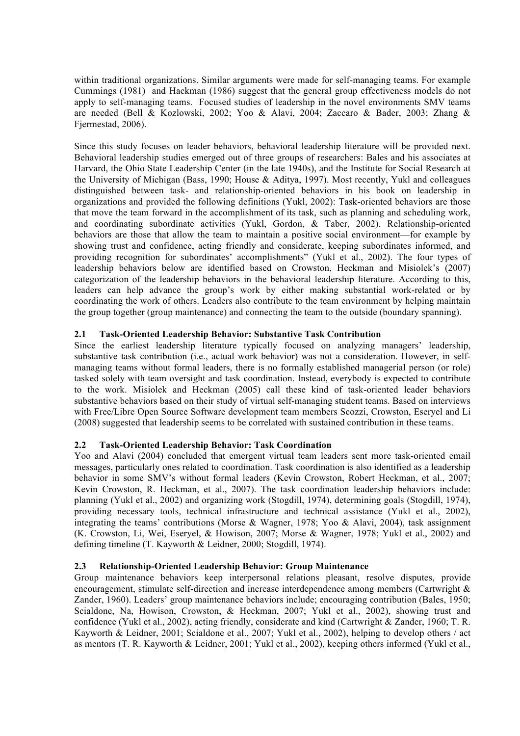within traditional organizations. Similar arguments were made for self-managing teams. For example Cummings (1981) and Hackman (1986) suggest that the general group effectiveness models do not apply to self-managing teams. Focused studies of leadership in the novel environments SMV teams are needed (Bell & Kozlowski, 2002; Yoo & Alavi, 2004; Zaccaro & Bader, 2003; Zhang & Fjermestad, 2006).

Since this study focuses on leader behaviors, behavioral leadership literature will be provided next. Behavioral leadership studies emerged out of three groups of researchers: Bales and his associates at Harvard, the Ohio State Leadership Center (in the late 1940s), and the Institute for Social Research at the University of Michigan (Bass, 1990; House & Aditya, 1997). Most recently, Yukl and colleagues distinguished between task- and relationship-oriented behaviors in his book on leadership in organizations and provided the following definitions (Yukl, 2002): Task-oriented behaviors are those that move the team forward in the accomplishment of its task, such as planning and scheduling work, and coordinating subordinate activities (Yukl, Gordon, & Taber, 2002). Relationship-oriented behaviors are those that allow the team to maintain a positive social environment—for example by showing trust and confidence, acting friendly and considerate, keeping subordinates informed, and providing recognition for subordinates' accomplishments" (Yukl et al., 2002). The four types of leadership behaviors below are identified based on Crowston, Heckman and Misiolek's (2007) categorization of the leadership behaviors in the behavioral leadership literature. According to this, leaders can help advance the group's work by either making substantial work-related or by coordinating the work of others. Leaders also contribute to the team environment by helping maintain the group together (group maintenance) and connecting the team to the outside (boundary spanning).

#### **2.1 Task-Oriented Leadership Behavior: Substantive Task Contribution**

Since the earliest leadership literature typically focused on analyzing managers' leadership, substantive task contribution (i.e., actual work behavior) was not a consideration. However, in selfmanaging teams without formal leaders, there is no formally established managerial person (or role) tasked solely with team oversight and task coordination. Instead, everybody is expected to contribute to the work. Misiolek and Heckman (2005) call these kind of task-oriented leader behaviors substantive behaviors based on their study of virtual self-managing student teams. Based on interviews with Free/Libre Open Source Software development team members Scozzi, Crowston, Eseryel and Li (2008) suggested that leadership seems to be correlated with sustained contribution in these teams.

#### **2.2 Task-Oriented Leadership Behavior: Task Coordination**

Yoo and Alavi (2004) concluded that emergent virtual team leaders sent more task-oriented email messages, particularly ones related to coordination. Task coordination is also identified as a leadership behavior in some SMV's without formal leaders (Kevin Crowston, Robert Heckman, et al., 2007; Kevin Crowston, R. Heckman, et al., 2007). The task coordination leadership behaviors include: planning (Yukl et al., 2002) and organizing work (Stogdill, 1974), determining goals (Stogdill, 1974), providing necessary tools, technical infrastructure and technical assistance (Yukl et al., 2002), integrating the teams' contributions (Morse & Wagner, 1978; Yoo & Alavi, 2004), task assignment (K. Crowston, Li, Wei, Eseryel, & Howison, 2007; Morse & Wagner, 1978; Yukl et al., 2002) and defining timeline (T. Kayworth & Leidner, 2000; Stogdill, 1974).

#### **2.3 Relationship-Oriented Leadership Behavior: Group Maintenance**

Group maintenance behaviors keep interpersonal relations pleasant, resolve disputes, provide encouragement, stimulate self-direction and increase interdependence among members (Cartwright  $\&$ Zander, 1960). Leaders' group maintenance behaviors include; encouraging contribution (Bales, 1950; Scialdone, Na, Howison, Crowston, & Heckman, 2007; Yukl et al., 2002), showing trust and confidence (Yukl et al., 2002), acting friendly, considerate and kind (Cartwright & Zander, 1960; T. R. Kayworth & Leidner, 2001; Scialdone et al., 2007; Yukl et al., 2002), helping to develop others / act as mentors (T. R. Kayworth & Leidner, 2001; Yukl et al., 2002), keeping others informed (Yukl et al.,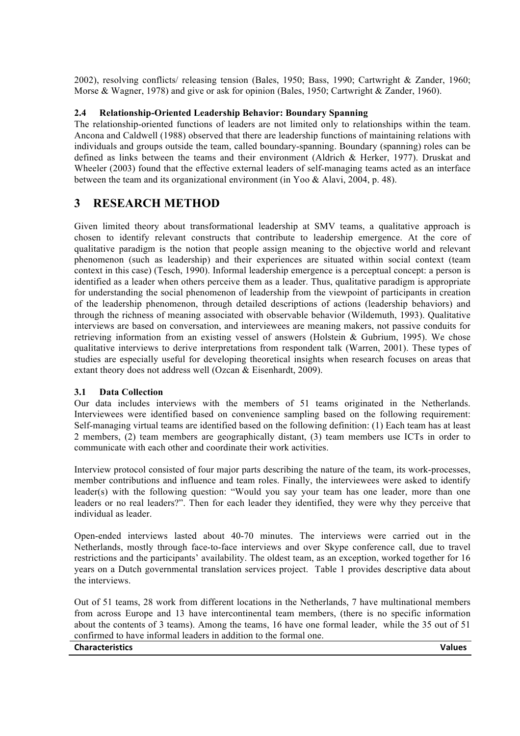2002), resolving conflicts/ releasing tension (Bales, 1950; Bass, 1990; Cartwright & Zander, 1960; Morse & Wagner, 1978) and give or ask for opinion (Bales, 1950; Cartwright & Zander, 1960).

#### **2.4 Relationship-Oriented Leadership Behavior: Boundary Spanning**

The relationship-oriented functions of leaders are not limited only to relationships within the team. Ancona and Caldwell (1988) observed that there are leadership functions of maintaining relations with individuals and groups outside the team, called boundary-spanning. Boundary (spanning) roles can be defined as links between the teams and their environment (Aldrich & Herker, 1977). Druskat and Wheeler (2003) found that the effective external leaders of self-managing teams acted as an interface between the team and its organizational environment (in Yoo & Alavi, 2004, p. 48).

### **3 RESEARCH METHOD**

Given limited theory about transformational leadership at SMV teams, a qualitative approach is chosen to identify relevant constructs that contribute to leadership emergence. At the core of qualitative paradigm is the notion that people assign meaning to the objective world and relevant phenomenon (such as leadership) and their experiences are situated within social context (team context in this case) (Tesch, 1990). Informal leadership emergence is a perceptual concept: a person is identified as a leader when others perceive them as a leader. Thus, qualitative paradigm is appropriate for understanding the social phenomenon of leadership from the viewpoint of participants in creation of the leadership phenomenon, through detailed descriptions of actions (leadership behaviors) and through the richness of meaning associated with observable behavior (Wildemuth, 1993). Qualitative interviews are based on conversation, and interviewees are meaning makers, not passive conduits for retrieving information from an existing vessel of answers (Holstein & Gubrium, 1995). We chose qualitative interviews to derive interpretations from respondent talk (Warren, 2001). These types of studies are especially useful for developing theoretical insights when research focuses on areas that extant theory does not address well (Ozcan & Eisenhardt, 2009).

#### **3.1 Data Collection**

Our data includes interviews with the members of 51 teams originated in the Netherlands. Interviewees were identified based on convenience sampling based on the following requirement: Self-managing virtual teams are identified based on the following definition: (1) Each team has at least 2 members, (2) team members are geographically distant, (3) team members use ICTs in order to communicate with each other and coordinate their work activities.

Interview protocol consisted of four major parts describing the nature of the team, its work-processes, member contributions and influence and team roles. Finally, the interviewees were asked to identify leader(s) with the following question: "Would you say your team has one leader, more than one leaders or no real leaders?". Then for each leader they identified, they were why they perceive that individual as leader.

Open-ended interviews lasted about 40-70 minutes. The interviews were carried out in the Netherlands, mostly through face-to-face interviews and over Skype conference call, due to travel restrictions and the participants' availability. The oldest team, as an exception, worked together for 16 years on a Dutch governmental translation services project. Table 1 provides descriptive data about the interviews.

Out of 51 teams, 28 work from different locations in the Netherlands, 7 have multinational members from across Europe and 13 have intercontinental team members, (there is no specific information about the contents of 3 teams). Among the teams, 16 have one formal leader, while the 35 out of 51 confirmed to have informal leaders in addition to the formal one.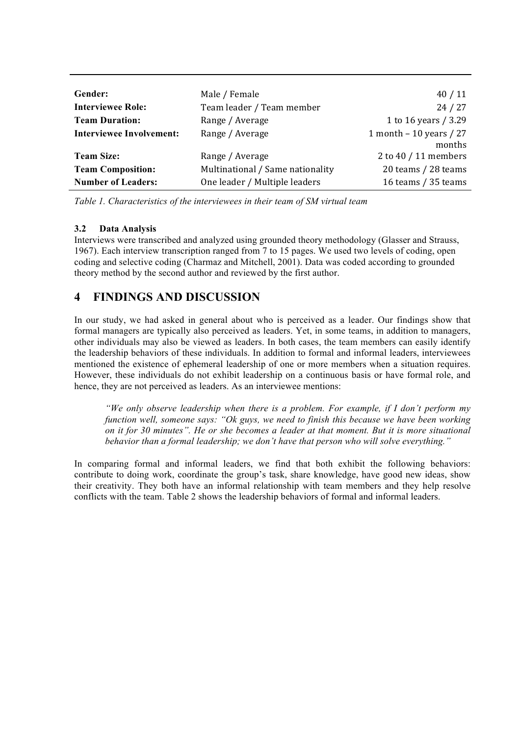| Gender:                         | Male / Female                    | 40/11                     |
|---------------------------------|----------------------------------|---------------------------|
| <b>Interviewee Role:</b>        | Team leader / Team member        | 24/27                     |
| <b>Team Duration:</b>           | Range / Average                  | 1 to 16 years / 3.29      |
| <b>Interviewee Involvement:</b> | Range / Average                  | 1 month $-$ 10 years / 27 |
|                                 |                                  | months                    |
| <b>Team Size:</b>               | Range / Average                  | 2 to 40 / 11 members      |
| <b>Team Composition:</b>        | Multinational / Same nationality | 20 teams / 28 teams       |
| <b>Number of Leaders:</b>       | One leader / Multiple leaders    | 16 teams / 35 teams       |

*Table 1. Characteristics of the interviewees in their team of SM virtual team*

#### **3.2 Data Analysis**

Interviews were transcribed and analyzed using grounded theory methodology (Glasser and Strauss, 1967). Each interview transcription ranged from 7 to 15 pages. We used two levels of coding, open coding and selective coding (Charmaz and Mitchell, 2001). Data was coded according to grounded theory method by the second author and reviewed by the first author.

## **4 FINDINGS AND DISCUSSION**

In our study, we had asked in general about who is perceived as a leader. Our findings show that formal managers are typically also perceived as leaders. Yet, in some teams, in addition to managers, other individuals may also be viewed as leaders. In both cases, the team members can easily identify the leadership behaviors of these individuals. In addition to formal and informal leaders, interviewees mentioned the existence of ephemeral leadership of one or more members when a situation requires. However, these individuals do not exhibit leadership on a continuous basis or have formal role, and hence, they are not perceived as leaders. As an interviewee mentions:

*"We only observe leadership when there is a problem. For example, if I don't perform my function well, someone says: "Ok guys, we need to finish this because we have been working on it for 30 minutes". He or she becomes a leader at that moment. But it is more situational behavior than a formal leadership; we don't have that person who will solve everything."*

In comparing formal and informal leaders, we find that both exhibit the following behaviors: contribute to doing work, coordinate the group's task, share knowledge, have good new ideas, show their creativity. They both have an informal relationship with team members and they help resolve conflicts with the team. Table 2 shows the leadership behaviors of formal and informal leaders.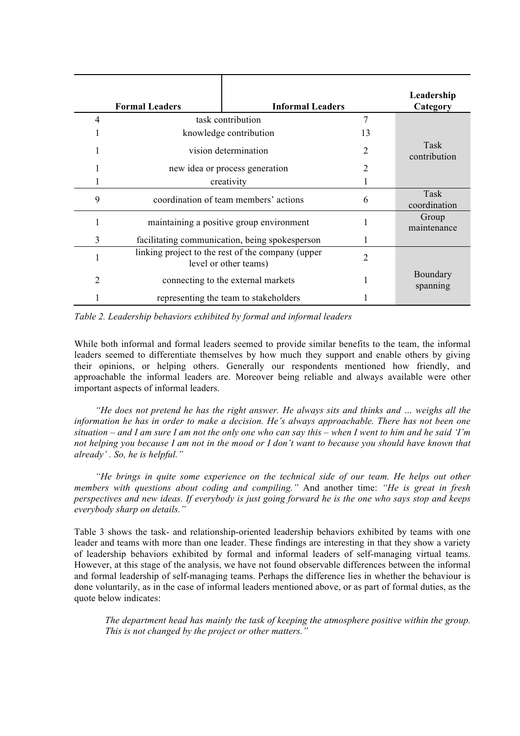|   | <b>Formal Leaders</b>                          | <b>Informal Leaders</b>                                                    |                      | Leadership<br>Category |
|---|------------------------------------------------|----------------------------------------------------------------------------|----------------------|------------------------|
| 4 |                                                | task contribution                                                          |                      |                        |
|   | knowledge contribution                         | 13                                                                         |                      |                        |
|   | vision determination                           | 2                                                                          | Task<br>contribution |                        |
|   | new idea or process generation                 | 2                                                                          |                      |                        |
|   | creativity                                     |                                                                            |                      |                        |
| 9 | coordination of team members' actions          | 6                                                                          | Task<br>coordination |                        |
|   | maintaining a positive group environment       |                                                                            |                      | Group<br>maintenance   |
| 3 | facilitating communication, being spokesperson |                                                                            |                      |                        |
|   |                                                | linking project to the rest of the company (upper<br>level or other teams) | 2                    |                        |
| 2 |                                                | connecting to the external markets                                         |                      | Boundary<br>spanning   |
|   |                                                | representing the team to stakeholders                                      |                      |                        |



While both informal and formal leaders seemed to provide similar benefits to the team, the informal leaders seemed to differentiate themselves by how much they support and enable others by giving their opinions, or helping others. Generally our respondents mentioned how friendly, and approachable the informal leaders are. Moreover being reliable and always available were other important aspects of informal leaders.

*"He does not pretend he has the right answer. He always sits and thinks and ... weighs all the information he has in order to make a decision. He's always approachable. There has not been one situation – and I am sure I am not the only one who can say this – when I went to him and he said 'I'm not helping you because I am not in the mood or I don't want to because you should have known that already' . So, he is helpful."*

*"He brings in quite some experience on the technical side of our team. He helps out other members with questions about coding and compiling."* And another time: *"He is great in fresh perspectives and new ideas. If everybody is just going forward he is the one who says stop and keeps everybody sharp on details."*

Table 3 shows the task- and relationship-oriented leadership behaviors exhibited by teams with one leader and teams with more than one leader. These findings are interesting in that they show a variety of leadership behaviors exhibited by formal and informal leaders of self-managing virtual teams. However, at this stage of the analysis, we have not found observable differences between the informal and formal leadership of self-managing teams. Perhaps the difference lies in whether the behaviour is done voluntarily, as in the case of informal leaders mentioned above, or as part of formal duties, as the quote below indicates:

*The department head has mainly the task of keeping the atmosphere positive within the group. This is not changed by the project or other matters."*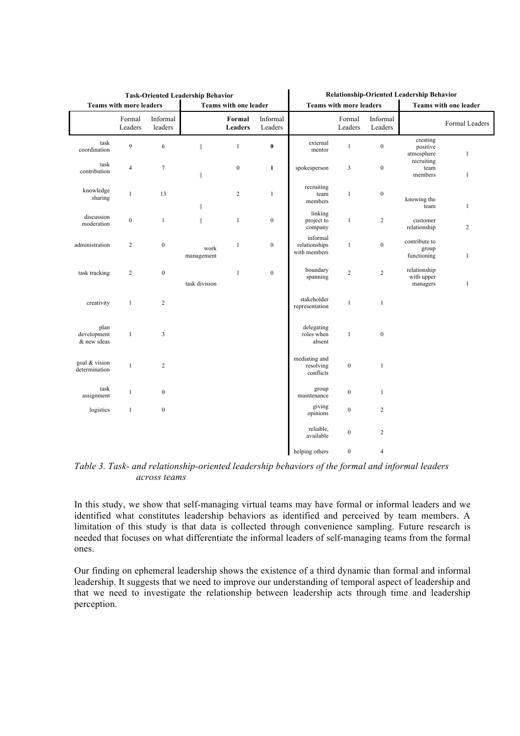| <b>Task-Oriented Leadership Behavior</b>         |                   |                     |                    | Relationship-Oriented Leadership Behavior                      |                     |                                           |                   |                     |                                        |                |
|--------------------------------------------------|-------------------|---------------------|--------------------|----------------------------------------------------------------|---------------------|-------------------------------------------|-------------------|---------------------|----------------------------------------|----------------|
| Teams with more leaders<br>Teams with one leader |                   |                     |                    | <b>Teams with more leaders</b><br><b>Teams with one leader</b> |                     |                                           |                   |                     |                                        |                |
|                                                  | Formal<br>Leaders | Informal<br>leaders |                    | Formal<br>Leaders                                              | Informal<br>Leaders |                                           | Formal<br>Leaders | Informal<br>Leaders |                                        | Formal Leaders |
| task<br>coordination                             | $\overline{9}$    | 6                   | $\mathbb{I}$       | $\mathbf{1}$                                                   | $\pmb{0}$           | external<br>mentor                        | $\mathbf{1}$      | $\boldsymbol{0}$    | creating<br>positive<br>atmosphere     | $\mathbf{1}$   |
| task<br>contribution                             | $\overline{4}$    | $\tau$              | $\ $               | $\boldsymbol{0}$                                               | $\mathbf{1}$        | spokesperson                              | 3                 | $\boldsymbol{0}$    | recruiting<br>team<br>members          | $\mathbf{1}$   |
| knowledge<br>sharing                             | $\mathbf{1}$      | 13                  | $\ $               | $\sqrt{2}$                                                     | $\mathbf{1}$        | recruiting<br>team<br>members             | $\mathbf{1}$      | $\boldsymbol{0}$    | knowing the<br>team                    | $\mathbf{1}$   |
| discussion<br>moderation                         | $\boldsymbol{0}$  | $\mathbf{1}$        | $\parallel$        | $\mathbf{1}$                                                   | $\boldsymbol{0}$    | linking<br>project to<br>company          | $\mathbf{1}$      | $\overline{c}$      | customer<br>relationship               | $\overline{c}$ |
| administration                                   | $\overline{2}$    | $\boldsymbol{0}$    | work<br>management | $\mathbf{1}$                                                   | $\boldsymbol{0}$    | informal<br>relationships<br>with members | $\mathbf{1}$      | $\boldsymbol{0}$    | contribute to<br>group<br>functioning  | $\mathbf{1}$   |
| task tracking                                    | 2                 | $\boldsymbol{0}$    | task division      | $\mathbf{1}$                                                   | $\boldsymbol{0}$    | boundary<br>spanning                      | $\overline{c}$    | $\sqrt{2}$          | relationship<br>with upper<br>managers | $\mathbf{1}$   |
| creativity                                       | $\mathbf{1}$      | $\overline{c}$      |                    |                                                                |                     | stakeholder<br>representation             | $\mathbf{1}$      | $\mathbf{1}$        |                                        |                |
| plan<br>development<br>& new ideas               | $\mathbf{1}$      | $\mathfrak{Z}$      |                    |                                                                |                     | delegating<br>roles when<br>absent        | $\mathbf{1}$      | $\boldsymbol{0}$    |                                        |                |
| goal & vision<br>determination                   | $\mathbf{1}$      | $\sqrt{2}$          |                    |                                                                |                     | mediating and<br>resolving<br>conflicts   | $\boldsymbol{0}$  | $\mathbf{1}$        |                                        |                |
| task<br>assignment                               | $\mathbf{1}$      | $\boldsymbol{0}$    |                    |                                                                |                     | group<br>maintenance                      | $\boldsymbol{0}$  | $\mathbf{1}$        |                                        |                |
| logistics                                        | $\mathbf{1}$      | $\boldsymbol{0}$    |                    |                                                                |                     | giving<br>opinions                        | $\boldsymbol{0}$  | $\overline{c}$      |                                        |                |
|                                                  |                   |                     |                    |                                                                |                     | reliable,<br>available                    | $\boldsymbol{0}$  | $\overline{c}$      |                                        |                |
|                                                  |                   |                     |                    |                                                                |                     | helping others                            | $\boldsymbol{0}$  | $\overline{4}$      |                                        |                |

*Table 3. Task- and relationship-oriented leadership behaviors of the formal and informal leaders across teams*

In this study, we show that self-managing virtual teams may have formal or informal leaders and we identified what constitutes leadership behaviors as identified and perceived by team members. A limitation of this study is that data is collected through convenience sampling. Future research is needed that focuses on what differentiate the informal leaders of self-managing teams from the formal ones.

Our finding on ephemeral leadership shows the existence of a third dynamic than formal and informal leadership. It suggests that we need to improve our understanding of temporal aspect of leadership and that we need to investigate the relationship between leadership acts through time and leadership perception.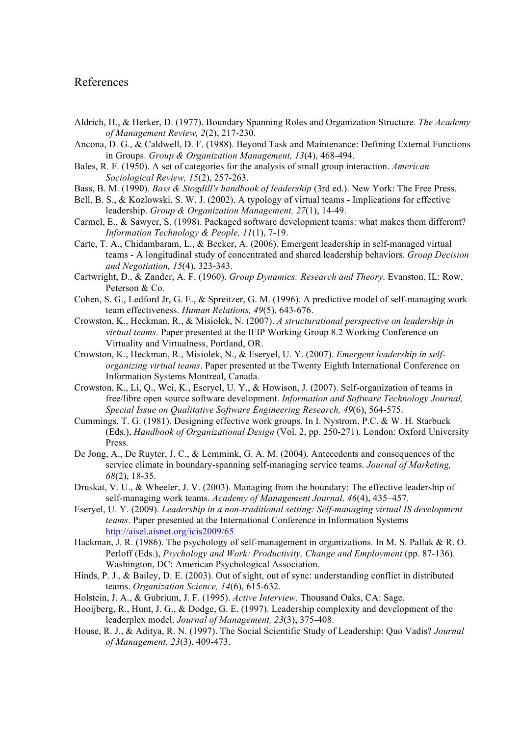#### References

- Aldrich, H., & Herker, D. (1977). Boundary Spanning Roles and Organization Structure. *The Academy of Management Review, 2*(2), 217-230.
- Ancona, D. G., & Caldwell, D. F. (1988). Beyond Task and Maintenance: Defining External Functions in Groups. *Group & Organization Management, 13*(4), 468-494.
- Bales, R. F. (1950). A set of categories for the analysis of small group interaction. *American Sociological Review, 15*(2), 257-263.
- Bass, B. M. (1990). *Bass & Stogdill's handbook of leadership* (3rd ed.). New York: The Free Press.
- Bell, B. S., & Kozlowski, S. W. J. (2002). A typology of virtual teams Implications for effective leadership. *Group & Organization Management, 27*(1), 14-49.
- Carmel, E., & Sawyer, S. (1998). Packaged software development teams: what makes them different? *Information Technology & People, 11*(1), 7-19.
- Carte, T. A., Chidambaram, L., & Becker, A. (2006). Emergent leadership in self-managed virtual teams - A longitudinal study of concentrated and shared leadership behaviors. *Group Decision and Negotiation, 15*(4), 323-343.
- Cartwright, D., & Zander, A. F. (1960). *Group Dynamics: Research and Theory*. Evanston, IL: Row, Peterson & Co.
- Cohen, S. G., Ledford Jr, G. E., & Spreitzer, G. M. (1996). A predictive model of self-managing work team effectiveness. *Human Relations, 49*(5), 643-676.
- Crowston, K., Heckman, R., & Misiolek, N. (2007). *A structurational perspective on leadership in virtual teams.* Paper presented at the IFIP Working Group 8.2 Working Conference on Virtuality and Virtualness, Portland, OR.
- Crowston, K., Heckman, R., Misiolek, N., & Eseryel, U. Y. (2007). *Emergent leadership in selforganizing virtual teams*. Paper presented at the Twenty Eighth International Conference on Information Systems Montreal, Canada.
- Crowston, K., Li, Q., Wei, K., Eseryel, U. Y., & Howison, J. (2007). Self-organization of teams in free/libre open source software development. *Information and Software Technology Journal, Special Issue on Qualitative Software Engineering Research, 49*(6), 564-575.
- Cummings, T. G. (1981). Designing effective work groups. In I. Nystrom, P.C. & W. H. Starbuck (Eds.), *Handbook of Organizational Design* (Vol. 2, pp. 250-271). London: Oxford University Press.
- De Jong, A., De Ruyter, J. C., & Lemmink, G. A. M. (2004). Antecedents and consequences of the service climate in boundary-spanning self-managing service teams. *Journal of Marketing, 68*(2), 18-35.
- Druskat, V. U., & Wheeler, J. V. (2003). Managing from the boundary: The effective leadership of self-managing work teams. *Academy of Management Journal, 46*(4), 435–457.
- Eseryel, U. Y. (2009). *Leadership in a non-traditional setting: Self-managing virtual IS development teams*. Paper presented at the International Conference in Information Systems http://aisel.aisnet.org/icis2009/65
- Hackman, J. R. (1986). The psychology of self-management in organizations. In M. S. Pallak & R. O. Perloff (Eds.), *Psychology and Work: Productivity, Change and Employment* (pp. 87-136). Washington, DC: American Psychological Association.
- Hinds, P. J., & Bailey, D. E. (2003). Out of sight, out of sync: understanding conflict in distributed teams. *Organization Science, 14*(6), 615-632.
- Holstein, J. A., & Gubrium, J. F. (1995). *Active Interview*. Thousand Oaks, CA: Sage.
- Hooijberg, R., Hunt, J. G., & Dodge, G. E. (1997). Leadership complexity and development of the leaderplex model. *Journal of Management, 23*(3), 375-408.
- House, R. J., & Aditya, R. N. (1997). The Social Scientific Study of Leadership: Quo Vadis? *Journal of Management, 23*(3), 409-473.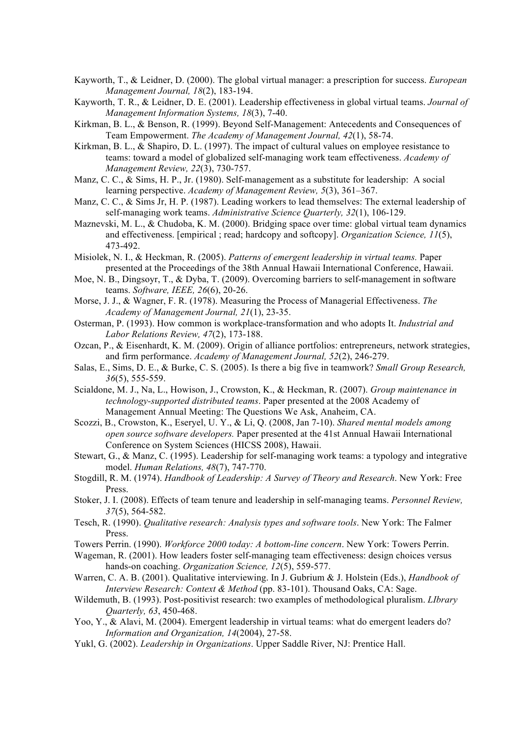- Kayworth, T., & Leidner, D. (2000). The global virtual manager: a prescription for success. *European Management Journal, 18*(2), 183-194.
- Kayworth, T. R., & Leidner, D. E. (2001). Leadership effectiveness in global virtual teams. *Journal of Management Information Systems, 18*(3), 7-40.
- Kirkman, B. L., & Benson, R. (1999). Beyond Self-Management: Antecedents and Consequences of Team Empowerment. *The Academy of Management Journal, 42*(1), 58-74.
- Kirkman, B. L.,  $\&$  Shapiro, D. L. (1997). The impact of cultural values on employee resistance to teams: toward a model of globalized self-managing work team effectiveness. *Academy of Management Review, 22*(3), 730-757.
- Manz, C. C., & Sims, H. P., Jr. (1980). Self-management as a substitute for leadership: A social learning perspective. *Academy of Management Review, 5*(3), 361–367.
- Manz, C. C., & Sims Jr, H. P. (1987). Leading workers to lead themselves: The external leadership of self-managing work teams. *Administrative Science Quarterly, 32*(1), 106-129.
- Maznevski, M. L., & Chudoba, K. M. (2000). Bridging space over time: global virtual team dynamics and effectiveness. [empirical ; read; hardcopy and softcopy]. *Organization Science, 11*(5), 473-492.
- Misiolek, N. I., & Heckman, R. (2005). *Patterns of emergent leadership in virtual teams.* Paper presented at the Proceedings of the 38th Annual Hawaii International Conference, Hawaii.
- Moe, N. B., Dingsoyr, T., & Dyba, T. (2009). Overcoming barriers to self-management in software teams. *Software, IEEE, 26*(6), 20-26.
- Morse, J. J., & Wagner, F. R. (1978). Measuring the Process of Managerial Effectiveness. *The Academy of Management Journal, 21*(1), 23-35.
- Osterman, P. (1993). How common is workplace-transformation and who adopts It. *Industrial and Labor Relations Review, 47*(2), 173-188.
- Ozcan, P., & Eisenhardt, K. M. (2009). Origin of alliance portfolios: entrepreneurs, network strategies, and firm performance. *Academy of Management Journal, 52*(2), 246-279.
- Salas, E., Sims, D. E., & Burke, C. S. (2005). Is there a big five in teamwork? *Small Group Research, 36*(5), 555-559.
- Scialdone, M. J., Na, L., Howison, J., Crowston, K., & Heckman, R. (2007). *Group maintenance in technology-supported distributed teams*. Paper presented at the 2008 Academy of Management Annual Meeting: The Questions We Ask, Anaheim, CA.
- Scozzi, B., Crowston, K., Eseryel, U. Y., & Li, Q. (2008, Jan 7-10). *Shared mental models among open source software developers.* Paper presented at the 41st Annual Hawaii International Conference on System Sciences (HICSS 2008), Hawaii.
- Stewart, G., & Manz, C. (1995). Leadership for self-managing work teams: a typology and integrative model. *Human Relations, 48*(7), 747-770.
- Stogdill, R. M. (1974). *Handbook of Leadership: A Survey of Theory and Research*. New York: Free Press.
- Stoker, J. I. (2008). Effects of team tenure and leadership in self-managing teams. *Personnel Review, 37*(5), 564-582.
- Tesch, R. (1990). *Qualitative research: Analysis types and software tools*. New York: The Falmer Press.
- Towers Perrin. (1990). *Workforce 2000 today: A bottom-line concern*. New York: Towers Perrin.
- Wageman, R. (2001). How leaders foster self-managing team effectiveness: design choices versus hands-on coaching. *Organization Science, 12*(5), 559-577.
- Warren, C. A. B. (2001). Qualitative interviewing. In J. Gubrium & J. Holstein (Eds.), *Handbook of Interview Research: Context & Method* (pp. 83-101). Thousand Oaks, CA: Sage.
- Wildemuth, B. (1993). Post-positivist research: two examples of methodological pluralism. *LIbrary Quarterly, 63*, 450-468.
- Yoo, Y., & Alavi, M. (2004). Emergent leadership in virtual teams: what do emergent leaders do? *Information and Organization, 14*(2004), 27-58.
- Yukl, G. (2002). *Leadership in Organizations*. Upper Saddle River, NJ: Prentice Hall.